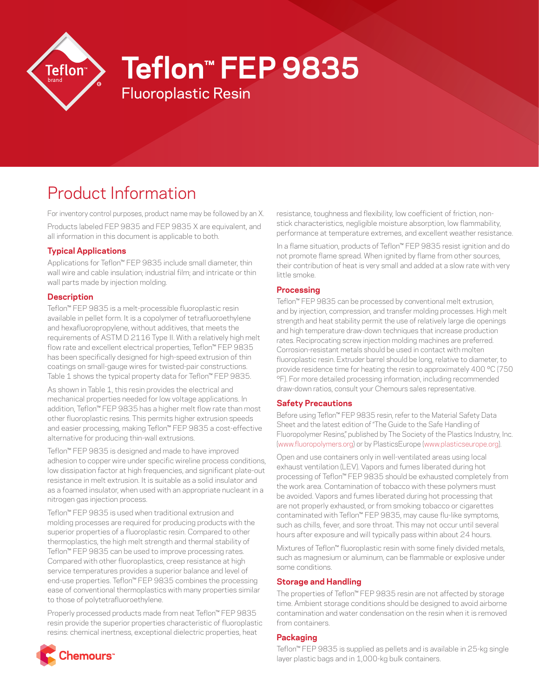

# **Teflon™ FEP 9835**

# Product Information

For inventory control purposes, product name may be followed by an X. Products labeled FEP 9835 and FEP 9835 X are equivalent, and all information in this document is applicable to both.

Fluoroplastic Resin

## **Typical Applications**

Applications for Teflon™ FEP 9835 include small diameter, thin wall wire and cable insulation; industrial film; and intricate or thin wall parts made by injection molding.

#### **Description**

Teflon™ FEP 9835 is a melt-processible fluoroplastic resin available in pellet form. It is a copolymer of tetrafluoroethylene and hexafluoropropylene, without additives, that meets the requirements of ASTM D 2116 Type II. With a relatively high melt flow rate and excellent electrical properties, Teflon™ FEP 9835 has been specifically designed for high-speed extrusion of thin coatings on small-gauge wires for twisted-pair constructions. Table 1 shows the typical property data for Teflon™ FEP 9835.

As shown in Table 1, this resin provides the electrical and mechanical properties needed for low voltage applications. In addition, Teflon™ FEP 9835 has a higher melt flow rate than most other fluoroplastic resins. This permits higher extrusion speeds and easier processing, making Teflon™ FEP 9835 a cost-effective alternative for producing thin-wall extrusions.

Teflon™ FEP 9835 is designed and made to have improved adhesion to copper wire under specific wireline process conditions, low dissipation factor at high frequencies, and significant plate-out resistance in melt extrusion. It is suitable as a solid insulator and as a foamed insulator, when used with an appropriate nucleant in a nitrogen gas injection process.

Teflon™ FEP 9835 is used when traditional extrusion and molding processes are required for producing products with the superior properties of a fluoroplastic resin. Compared to other thermoplastics, the high melt strength and thermal stability of Teflon™ FEP 9835 can be used to improve processing rates. Compared with other fluoroplastics, creep resistance at high service temperatures provides a superior balance and level of end-use properties. Teflon™ FEP 9835 combines the processing ease of conventional thermoplastics with many properties similar to those of polytetrafluoroethylene.

Properly processed products made from neat Teflon™ FEP 9835 resin provide the superior properties characteristic of fluoroplastic resins: chemical inertness, exceptional dielectric properties, heat

resistance, toughness and flexibility, low coefficient of friction, nonstick characteristics, negligible moisture absorption, low flammability, performance at temperature extremes, and excellent weather resistance.

In a flame situation, products of Teflon™ FEP 9835 resist ignition and do not promote flame spread. When ignited by flame from other sources, their contribution of heat is very small and added at a slow rate with very little smoke.

#### **Processing**

Teflon™ FEP 9835 can be processed by conventional melt extrusion, and by injection, compression, and transfer molding processes. High melt strength and heat stability permit the use of relatively large die openings and high temperature draw-down techniques that increase production rates. Reciprocating screw injection molding machines are preferred. Corrosion-resistant metals should be used in contact with molten fluoroplastic resin. Extruder barrel should be long, relative to diameter, to provide residence time for heating the resin to approximately 400 °C (750 °F). For more detailed processing information, including recommended draw-down ratios, consult your Chemours sales representative.

#### **Safety Precautions**

Before using Teflon™ FEP 9835 resin, refer to the Material Safety Data Sheet and the latest edition of "The Guide to the Safe Handling of Fluoropolymer Resins," published by The Society of the Plastics Industry, Inc. [\(www.fluoropolymers.org](http://www.fluoropolymers.org)) or by PlasticsEurope ([www.plasticseurope.org\)](http://www.plasticseurope.org).

Open and use containers only in well-ventilated areas using local exhaust ventilation (LEV). Vapors and fumes liberated during hot processing of Teflon™ FEP 9835 should be exhausted completely from the work area. Contamination of tobacco with these polymers must be avoided. Vapors and fumes liberated during hot processing that are not properly exhausted, or from smoking tobacco or cigarettes contaminated with Teflon™ FEP 9835, may cause flu-like symptoms, such as chills, fever, and sore throat. This may not occur until several hours after exposure and will typically pass within about 24 hours.

Mixtures of Teflon™ fluoroplastic resin with some finely divided metals, such as magnesium or aluminum, can be flammable or explosive under some conditions.

#### **Storage and Handling**

The properties of Teflon™ FEP 9835 resin are not affected by storage time. Ambient storage conditions should be designed to avoid airborne contamination and water condensation on the resin when it is removed from containers.

#### **Packaging**

Teflon™ FEP 9835 is supplied as pellets and is available in 25-kg single layer plastic bags and in 1,000-kg bulk containers.